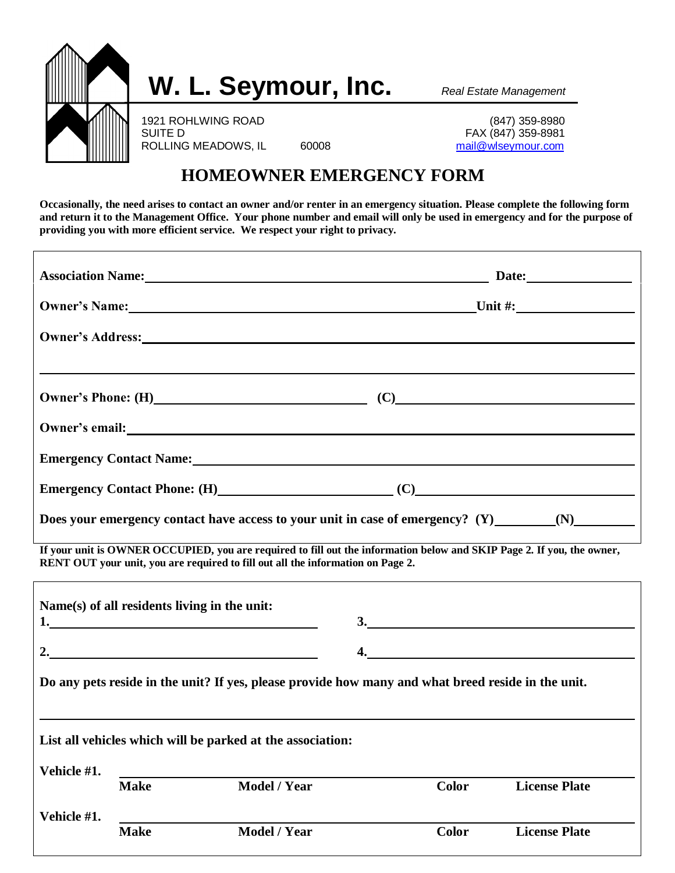

## **HOMEOWNER EMERGENCY FORM**

**Occasionally, the need arises to contact an owner and/or renter in an emergency situation. Please complete the following form and return it to the Management Office. Your phone number and email will only be used in emergency and for the purpose of providing you with more efficient service. We respect your right to privacy.** 

|                                                                                                                                                                                                           |             |                                                                                                                                                                                                                                | Association Name: 1990 Manual Communication of Date: 2008 Manual Communication of Date: |                      |  |  |  |  |
|-----------------------------------------------------------------------------------------------------------------------------------------------------------------------------------------------------------|-------------|--------------------------------------------------------------------------------------------------------------------------------------------------------------------------------------------------------------------------------|-----------------------------------------------------------------------------------------|----------------------|--|--|--|--|
|                                                                                                                                                                                                           |             |                                                                                                                                                                                                                                | Owner's Name: Unit #:                                                                   |                      |  |  |  |  |
|                                                                                                                                                                                                           |             | Owner's Address: New York Changes and Security and Security and Security and Security and Security and Security and Security and Security and Security and Security and Security and Security and Security and Security and Se |                                                                                         |                      |  |  |  |  |
|                                                                                                                                                                                                           |             |                                                                                                                                                                                                                                |                                                                                         |                      |  |  |  |  |
|                                                                                                                                                                                                           |             | Owner's Phone: $(H)$ (C) (C)                                                                                                                                                                                                   |                                                                                         |                      |  |  |  |  |
|                                                                                                                                                                                                           |             | Owner's email: Note and the set of the set of the set of the set of the set of the set of the set of the set of the set of the set of the set of the set of the set of the set of the set of the set of the set of the set of  |                                                                                         |                      |  |  |  |  |
|                                                                                                                                                                                                           |             | Emergency Contact Name: Manual Contract Decision of the Second Lines of the Second Lines of the Second Lines of the Second Lines of the Second Lines of the Second Lines of the Second Lines of the Second Lines of the Second |                                                                                         |                      |  |  |  |  |
|                                                                                                                                                                                                           |             | Emergency Contact Phone: (H) (C)                                                                                                                                                                                               |                                                                                         |                      |  |  |  |  |
| Does your emergency contact have access to your unit in case of emergency? (Y) _____________________                                                                                                      |             |                                                                                                                                                                                                                                |                                                                                         |                      |  |  |  |  |
| If your unit is OWNER OCCUPIED, you are required to fill out the information below and SKIP Page 2. If you, the owner,<br>RENT OUT your unit, you are required to fill out all the information on Page 2. |             |                                                                                                                                                                                                                                |                                                                                         |                      |  |  |  |  |
|                                                                                                                                                                                                           |             | Name(s) of all residents living in the unit:                                                                                                                                                                                   |                                                                                         |                      |  |  |  |  |
|                                                                                                                                                                                                           |             |                                                                                                                                                                                                                                |                                                                                         | $\frac{3}{2}$        |  |  |  |  |
| 2.                                                                                                                                                                                                        |             |                                                                                                                                                                                                                                |                                                                                         |                      |  |  |  |  |
| Do any pets reside in the unit? If yes, please provide how many and what breed reside in the unit.                                                                                                        |             |                                                                                                                                                                                                                                |                                                                                         |                      |  |  |  |  |
|                                                                                                                                                                                                           |             |                                                                                                                                                                                                                                |                                                                                         |                      |  |  |  |  |
|                                                                                                                                                                                                           |             | List all vehicles which will be parked at the association:                                                                                                                                                                     |                                                                                         |                      |  |  |  |  |
| Vehicle #1.                                                                                                                                                                                               | <b>Make</b> | <b>Model / Year</b>                                                                                                                                                                                                            | <b>Color</b>                                                                            | <b>License Plate</b> |  |  |  |  |
| Vehicle #1.                                                                                                                                                                                               |             |                                                                                                                                                                                                                                |                                                                                         |                      |  |  |  |  |
|                                                                                                                                                                                                           | <b>Make</b> | <b>Model / Year</b>                                                                                                                                                                                                            | <b>Color</b>                                                                            | <b>License Plate</b> |  |  |  |  |